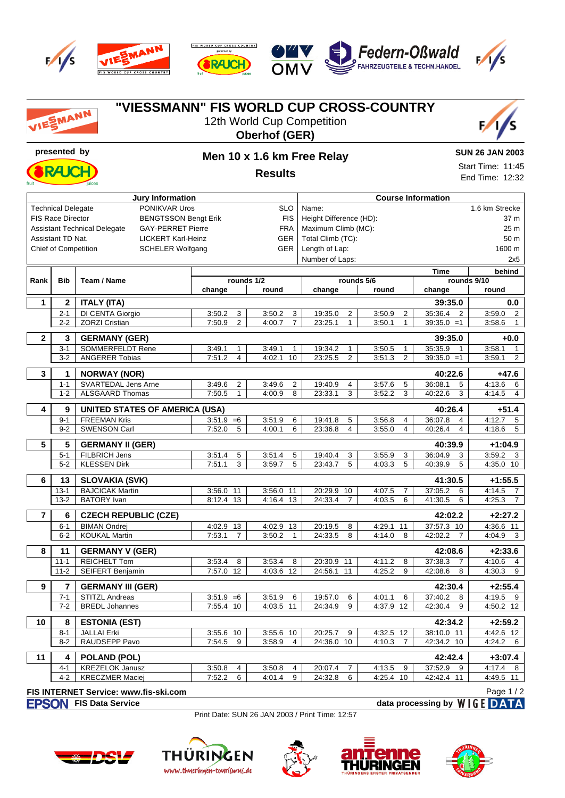

**FIS WORLD CUP CROSS COUNTRY RAJCH** 







## **"VIESSMANN" FIS WORLD CUP CROSS-COUNTRY** EMANN 12th World Cup Competition **Oberhof (GER) presented by Men 10 x 1.6 km Free Relay SUN 26 JAN 2003** Start Time: 11:45 **Results** End Time: 12:32 **Jury Information Course Information** Technical Delegate **PONIKVAR Uros** SLO Name: 1.6 km Strecke FIS Race Director BENGTSSON Bengt Erik FIS Height Difference (HD): 37 m Assistant Technical Delegate GAY-PERRET Pierre FRA Maximum Climb (MC): 25 m Assistant TD Nat. LICKERT Karl-Heinz GER Total Climb (TC): 50 m Chief of Competition SCHELER Wolfgang GER Length of Lap: 1600 m Number of Laps: 2x5 **Time behind Rank Bib Team / Name rounds 1/2 rounds 5/6 rounds 9/10 change round** change | round **change round 1 2 ITALY (ITA) 39:35.0 0.0** 2-1 | DI CENTA Giorgio | 3:50.2 3 | 3:50.2 3 | 3:35.0 2 | 3:50.9 2 | 35:36.4 2 | 3:59.0 2 2-2 ZORZI Cristian 200 1 2:50.9 2 4:00.7 7 23:25.1 1 3:50.1 1 39:35.0 =1 3:58.6 1 **2 3 GERMANY (GER) 39:35.0 +0.0** 3-1 SOMMERFELDT Rene 3:49.1 1 3:49.1 1 19:34.2 1 3:50.5 1 35:35.9 1 3:58.1 1<br>3-2 ANGERER Tobias 7:51.2 4 4:02.1 10 23:25.5 2 3:51.3 2 39:35.0 =1 3:59.1 2 3-2 ANGERER Tobias 7:51.2 4 4:02.1 10 23:25.5 2 3:51.3 2 39:35.0 =1 3:59.1 2 **3 1 NORWAY (NOR) 40:22.6 +47.6** 1-1 SVARTEDAL Jens Arne 3:49.6 2 3:49.6 2 19:40.9 4 3:57.6 5 36:08.1 5 4:13.6 6 1-2 ALSGAARD Thomas 1.50.5 1 4:00.9 8 23:33.1 3 3:52.2 3 40:22.6 3 4:14.5 4 **4 9 UNITED STATES OF AMERICA (USA) 40:26.4 +51.4** 9-1 FREEMAN Kris 3:51.9 =6 3:51.9 6 19:41.8 5 3:56.8 4 36:07.8 4 4:12.7 5<br>9-2 SWENSON Carl 7:52.0 5 4:00.1 6 23:36.8 4 3:55.0 4 40:26.4 4 4:18.6 5 9-2 SWENSON Carl 7:52.0 5 4:00.1 6 23:36.8 4 3:55.0 4 40:26.4 4 4:18.6 5 **5 5 GERMANY II (GER) 40:39.9 +1:04.9** 5-1 FILBRICH Jens 3:51.4 5 3:51.4 5 19:40.4 3 3:55.9 3 36:04.9 3 3:59.2 3 5-2 KLESSEN Dirk 7:51.1 3 3:59.7 5 23:43.7 5 4:03.3 5 40:39.9 5 4:35.0 10 **6 13 SLOVAKIA (SVK) 41:30.5 +1:55.5** 13-1 BAJCICAK Martin 3:56.0 11 3:56.0 11 20:29.9 10 4:07.5 7 37:05.2 6 4:14.5 7 13-2 BATORY Ivan | 8:12.4 13 | 4:16.4 13 | 24:33.4 7 | 4:03.5 6 | 4:130.5 6 | 4:25.3 7 **7 6 CZECH REPUBLIC (CZE) 42:02.2 +2:27.2** 6-1 BIMAN Ondrej 4:02.9 13 4:02.9 13 20:19.5 8 4:29.1 11 37:57.3 10 4:36.6 11 6-2 KOUKAL Martin 7:53.1 7 3:50.2 1 24:33.5 8 4:14.0 8 42:02.2 7 4:04.9 3 **8 11 GERMANY V (GER) 42:08.6 +2:33.6** 11-1 REICHELT Tom 3:53.4 8 3:53.4 8 20:30.9 11 4:11.2 8 37:38.3 7 4:10.6 4 11-2 | SEIFERT Benjamin | 7:57.0 12 | 4:03.6 12 | 24:56.1 11 | 4:25.2 9 | 42:08.6 8 | 4:30.3 9 **9 7 GERMANY III (GER) 42:30.4 +2:55.4** 7-1 STITZL Andreas 3:51.9 =6 3:51.9 6 19:57.0 6 4:01.1 6 37:40.2 8 4:19.5 9 7-2 BREDL Johannes 7:55.4 10 4:03.5 11 24:34.9 9 4:37.9 12 42:30.4 9 4:50.2 12 **10 8 ESTONIA (EST) 42:34.2 +2:59.2** 8-1 JALLAI Erki 3:55.6 10 3:55.6 10 20:25.7 9 4:32.5 12 38:10.0 11 4:42.6 12 8-2 RAUDSEPP Pavo 7:54.5 9 3:58.9 4 24:36.0 10 4:10.3 7 42:34.2 10 4:24.2 6 **11 4 POLAND (POL) 42:42.4 +3:07.4** 4-1 KREZELOK Janusz 3:50.8 4 3:50.8 4 20:07.4 7 4:13.5 9 37:52.9 9 4:17.4 8 4-2 KRECZMER Maciej 7:52.2 6 4:01.4 9 24:32.8 6 4:25.4 10 42:42.4 11 4:49.5 11 **FIS INTERNET Service: www.fis-ski.com** Page 1 / 2**FISON** FIS Data Service **data processing by** WIGE DATA

Print Date: SUN 26 JAN 2003 / Print Time: 12:57